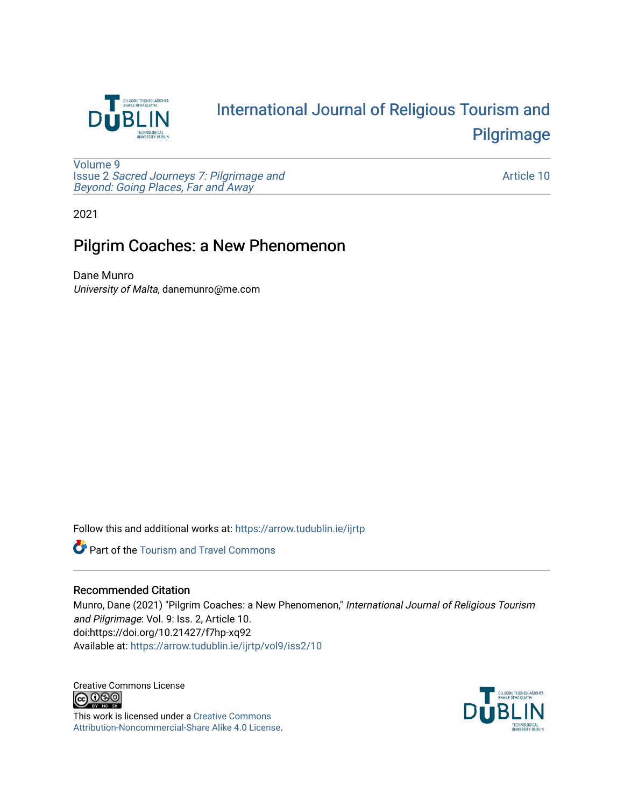

## [International Journal of Religious Tourism and](https://arrow.tudublin.ie/ijrtp)  [Pilgrimage](https://arrow.tudublin.ie/ijrtp)

[Volume 9](https://arrow.tudublin.ie/ijrtp/vol9) Issue 2 [Sacred Journeys 7: Pilgrimage and](https://arrow.tudublin.ie/ijrtp/vol9/iss2)  [Beyond: Going Places, Far and Away](https://arrow.tudublin.ie/ijrtp/vol9/iss2)

[Article 10](https://arrow.tudublin.ie/ijrtp/vol9/iss2/10) 

2021

## Pilgrim Coaches: a New Phenomenon

Dane Munro University of Malta, danemunro@me.com

Follow this and additional works at: [https://arrow.tudublin.ie/ijrtp](https://arrow.tudublin.ie/ijrtp?utm_source=arrow.tudublin.ie%2Fijrtp%2Fvol9%2Fiss2%2F10&utm_medium=PDF&utm_campaign=PDFCoverPages)

**Part of the [Tourism and Travel Commons](http://network.bepress.com/hgg/discipline/1082?utm_source=arrow.tudublin.ie%2Fijrtp%2Fvol9%2Fiss2%2F10&utm_medium=PDF&utm_campaign=PDFCoverPages)** 

#### Recommended Citation

Munro, Dane (2021) "Pilgrim Coaches: a New Phenomenon," International Journal of Religious Tourism and Pilgrimage: Vol. 9: Iss. 2, Article 10. doi:https://doi.org/10.21427/f7hp-xq92 Available at: [https://arrow.tudublin.ie/ijrtp/vol9/iss2/10](https://arrow.tudublin.ie/ijrtp/vol9/iss2/10?utm_source=arrow.tudublin.ie%2Fijrtp%2Fvol9%2Fiss2%2F10&utm_medium=PDF&utm_campaign=PDFCoverPages)

Creative Commons License<br>  $\bigcirc$  0 0 0

This work is licensed under a [Creative Commons](https://creativecommons.org/licenses/by-nc-sa/4.0/) [Attribution-Noncommercial-Share Alike 4.0 License](https://creativecommons.org/licenses/by-nc-sa/4.0/).

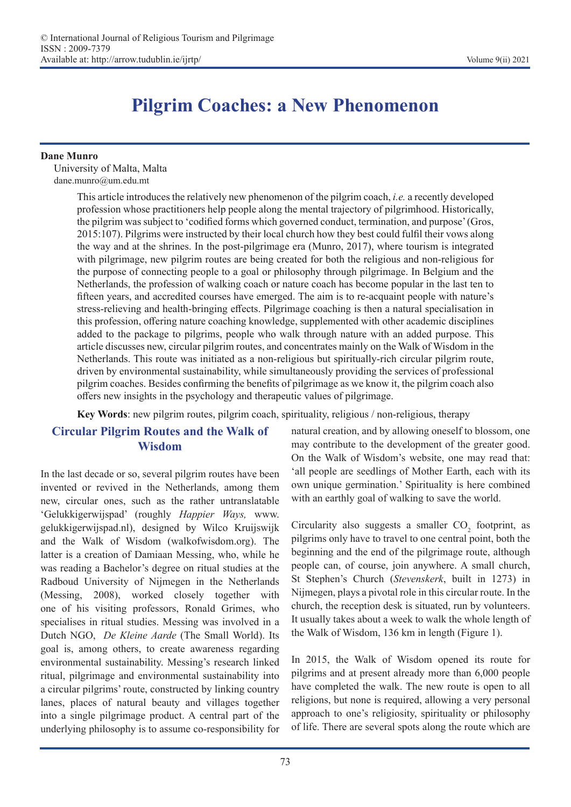# **Pilgrim Coaches: a New Phenomenon**

#### **Dane Munro**

University of Malta, Malta dane.munro@um.edu.mt

> This article introduces the relatively new phenomenon of the pilgrim coach, *i.e.* a recently developed profession whose practitioners help people along the mental trajectory of pilgrimhood. Historically, the pilgrim was subject to 'codified forms which governed conduct, termination, and purpose' (Gros, 2015:107). Pilgrims were instructed by their local church how they best could fulfil their vows along the way and at the shrines. In the post-pilgrimage era (Munro, 2017), where tourism is integrated with pilgrimage, new pilgrim routes are being created for both the religious and non-religious for the purpose of connecting people to a goal or philosophy through pilgrimage. In Belgium and the Netherlands, the profession of walking coach or nature coach has become popular in the last ten to fifteen years, and accredited courses have emerged. The aim is to re-acquaint people with nature's stress-relieving and health-bringing effects. Pilgrimage coaching is then a natural specialisation in this profession, offering nature coaching knowledge, supplemented with other academic disciplines added to the package to pilgrims, people who walk through nature with an added purpose. This article discusses new, circular pilgrim routes, and concentrates mainly on the Walk of Wisdom in the Netherlands. This route was initiated as a non-religious but spiritually-rich circular pilgrim route, driven by environmental sustainability, while simultaneously providing the services of professional pilgrim coaches. Besides confirming the benefits of pilgrimage as we know it, the pilgrim coach also offers new insights in the psychology and therapeutic values of pilgrimage.

**Key Words**: new pilgrim routes, pilgrim coach, spirituality, religious / non-religious, therapy

### **Circular Pilgrim Routes and the Walk of Wisdom**

In the last decade or so, several pilgrim routes have been invented or revived in the Netherlands, among them new, circular ones, such as the rather untranslatable 'Gelukkigerwijspad' (roughly *Happier Ways,* www. gelukkigerwijspad.nl), designed by Wilco Kruijswijk and the Walk of Wisdom (walkofwisdom.org). The latter is a creation of Damiaan Messing, who, while he was reading a Bachelor's degree on ritual studies at the Radboud University of Nijmegen in the Netherlands (Messing, 2008), worked closely together with one of his visiting professors, Ronald Grimes, who specialises in ritual studies. Messing was involved in a Dutch NGO, *De Kleine Aarde* (The Small World). Its goal is, among others, to create awareness regarding environmental sustainability. Messing's research linked ritual, pilgrimage and environmental sustainability into a circular pilgrims' route, constructed by linking country lanes, places of natural beauty and villages together into a single pilgrimage product. A central part of the underlying philosophy is to assume co-responsibility for

natural creation, and by allowing oneself to blossom, one may contribute to the development of the greater good. On the Walk of Wisdom's website, one may read that: 'all people are seedlings of Mother Earth, each with its own unique germination.' Spirituality is here combined with an earthly goal of walking to save the world.

Circularity also suggests a smaller  $CO<sub>2</sub>$  footprint, as pilgrims only have to travel to one central point, both the beginning and the end of the pilgrimage route, although people can, of course, join anywhere. A small church, St Stephen's Church (*Stevenskerk*, built in 1273) in Nijmegen, plays a pivotal role in this circular route. In the church, the reception desk is situated, run by volunteers. It usually takes about a week to walk the whole length of the Walk of Wisdom, 136 km in length (Figure 1).

In 2015, the Walk of Wisdom opened its route for pilgrims and at present already more than 6,000 people have completed the walk. The new route is open to all religions, but none is required, allowing a very personal approach to one's religiosity, spirituality or philosophy of life. There are several spots along the route which are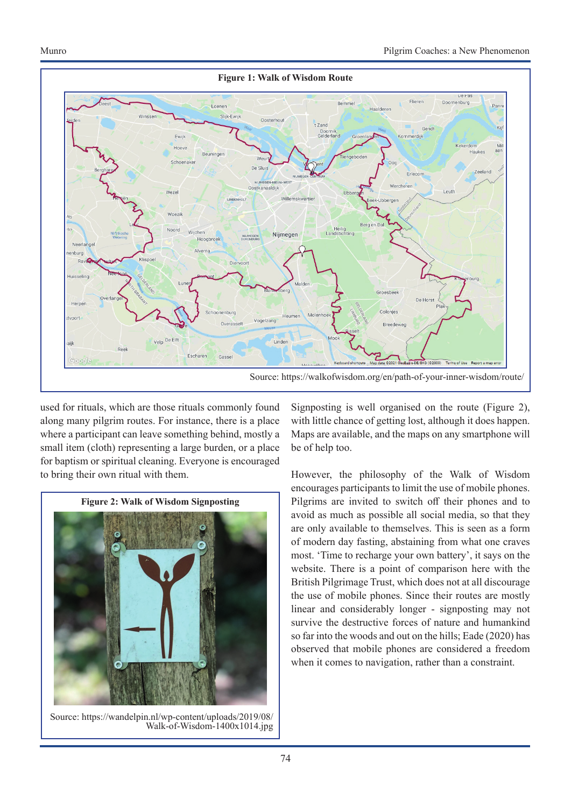

used for rituals, which are those rituals commonly found along many pilgrim routes. For instance, there is a place where a participant can leave something behind, mostly a small item (cloth) representing a large burden, or a place for baptism or spiritual cleaning. Everyone is encouraged to bring their own ritual with them.



Source: https://wandelpin.nl/wp-content/uploads/2019/08/ Walk-of-Wisdom-1400x1014.jpg

Signposting is well organised on the route (Figure 2), with little chance of getting lost, although it does happen. Maps are available, and the maps on any smartphone will be of help too.

However, the philosophy of the Walk of Wisdom encourages participants to limit the use of mobile phones. Pilgrims are invited to switch off their phones and to avoid as much as possible all social media, so that they are only available to themselves. This is seen as a form of modern day fasting, abstaining from what one craves most. 'Time to recharge your own battery', it says on the website. There is a point of comparison here with the British Pilgrimage Trust, which does not at all discourage the use of mobile phones. Since their routes are mostly linear and considerably longer - signposting may not survive the destructive forces of nature and humankind so far into the woods and out on the hills; Eade (2020) has observed that mobile phones are considered a freedom when it comes to navigation, rather than a constraint.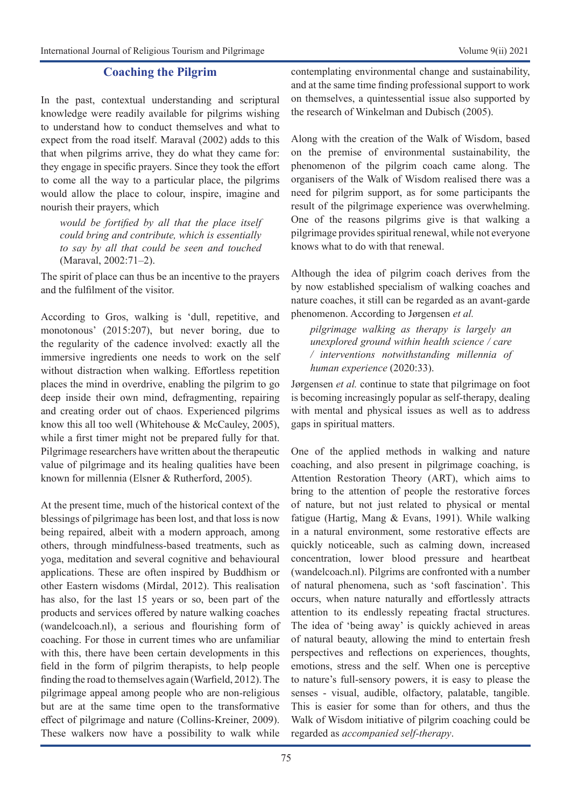#### **Coaching the Pilgrim**

In the past, contextual understanding and scriptural knowledge were readily available for pilgrims wishing to understand how to conduct themselves and what to expect from the road itself. Maraval (2002) adds to this that when pilgrims arrive, they do what they came for: they engage in specific prayers. Since they took the effort to come all the way to a particular place, the pilgrims would allow the place to colour, inspire, imagine and nourish their prayers, which

*would be fortified by all that the place itself could bring and contribute, which is essentially to say by all that could be seen and touched*  (Maraval, 2002:71–2).

The spirit of place can thus be an incentive to the prayers and the fulfilment of the visitor.

According to Gros, walking is 'dull, repetitive, and monotonous' (2015:207), but never boring, due to the regularity of the cadence involved: exactly all the immersive ingredients one needs to work on the self without distraction when walking. Effortless repetition places the mind in overdrive, enabling the pilgrim to go deep inside their own mind, defragmenting, repairing and creating order out of chaos. Experienced pilgrims know this all too well (Whitehouse & McCauley, 2005), while a first timer might not be prepared fully for that. Pilgrimage researchers have written about the therapeutic value of pilgrimage and its healing qualities have been known for millennia (Elsner & Rutherford, 2005).

At the present time, much of the historical context of the blessings of pilgrimage has been lost, and that loss is now being repaired, albeit with a modern approach, among others, through mindfulness-based treatments, such as yoga, meditation and several cognitive and behavioural applications. These are often inspired by Buddhism or other Eastern wisdoms (Mirdal, 2012). This realisation has also, for the last 15 years or so, been part of the products and services offered by nature walking coaches (wandelcoach.nl), a serious and flourishing form of coaching. For those in current times who are unfamiliar with this, there have been certain developments in this field in the form of pilgrim therapists, to help people finding the road to themselves again (Warfield, 2012). The pilgrimage appeal among people who are non-religious but are at the same time open to the transformative effect of pilgrimage and nature (Collins-Kreiner, 2009). These walkers now have a possibility to walk while

contemplating environmental change and sustainability, and at the same time finding professional support to work on themselves, a quintessential issue also supported by the research of Winkelman and Dubisch (2005).

Along with the creation of the Walk of Wisdom, based on the premise of environmental sustainability, the phenomenon of the pilgrim coach came along. The organisers of the Walk of Wisdom realised there was a need for pilgrim support, as for some participants the result of the pilgrimage experience was overwhelming. One of the reasons pilgrims give is that walking a pilgrimage provides spiritual renewal, while not everyone knows what to do with that renewal.

Although the idea of pilgrim coach derives from the by now established specialism of walking coaches and nature coaches, it still can be regarded as an avant-garde phenomenon. According to Jørgensen *et al.* 

*pilgrimage walking as therapy is largely an unexplored ground within health science / care / interventions notwithstanding millennia of human experience* (2020:33).

Jørgensen *et al.* continue to state that pilgrimage on foot is becoming increasingly popular as self-therapy, dealing with mental and physical issues as well as to address gaps in spiritual matters.

One of the applied methods in walking and nature coaching, and also present in pilgrimage coaching, is Attention Restoration Theory (ART), which aims to bring to the attention of people the restorative forces of nature, but not just related to physical or mental fatigue (Hartig, Mang & Evans, 1991). While walking in a natural environment, some restorative effects are quickly noticeable, such as calming down, increased concentration, lower blood pressure and heartbeat (wandelcoach.nl). Pilgrims are confronted with a number of natural phenomena, such as 'soft fascination'. This occurs, when nature naturally and effortlessly attracts attention to its endlessly repeating fractal structures. The idea of 'being away' is quickly achieved in areas of natural beauty, allowing the mind to entertain fresh perspectives and reflections on experiences, thoughts, emotions, stress and the self. When one is perceptive to nature's full-sensory powers, it is easy to please the senses - visual, audible, olfactory, palatable, tangible. This is easier for some than for others, and thus the Walk of Wisdom initiative of pilgrim coaching could be regarded as *accompanied self-therapy*.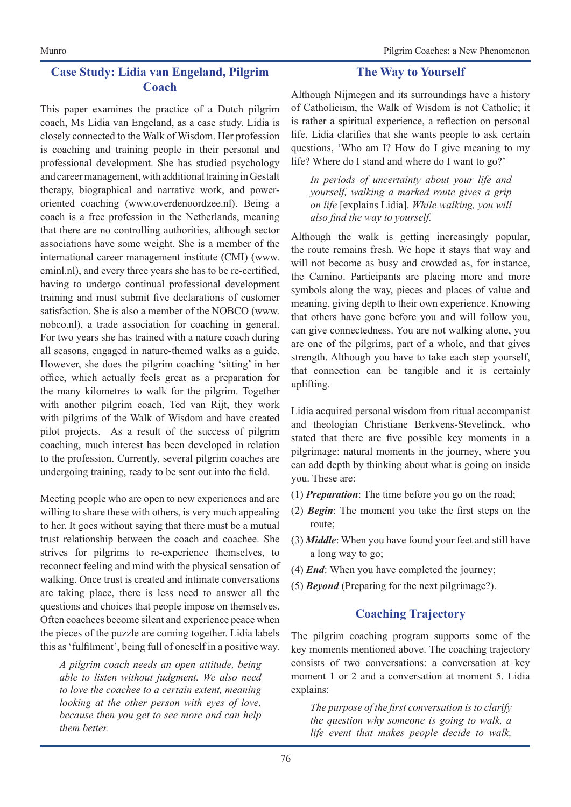#### **Case Study: Lidia van Engeland, Pilgrim Coach**

This paper examines the practice of a Dutch pilgrim coach, Ms Lidia van Engeland, as a case study. Lidia is closely connected to the Walk of Wisdom. Her profession is coaching and training people in their personal and professional development. She has studied psychology and career management, with additional training in Gestalt therapy, biographical and narrative work, and poweroriented coaching (www.overdenoordzee.nl). Being a coach is a free profession in the Netherlands, meaning that there are no controlling authorities, although sector associations have some weight. She is a member of the international career management institute (CMI) (www. cminl.nl), and every three years she has to be re-certified, having to undergo continual professional development training and must submit five declarations of customer satisfaction. She is also a member of the NOBCO (www. nobco.nl), a trade association for coaching in general. For two years she has trained with a nature coach during all seasons, engaged in nature-themed walks as a guide. However, she does the pilgrim coaching 'sitting' in her office, which actually feels great as a preparation for the many kilometres to walk for the pilgrim. Together with another pilgrim coach, Ted van Rijt, they work with pilgrims of the Walk of Wisdom and have created pilot projects. As a result of the success of pilgrim coaching, much interest has been developed in relation to the profession. Currently, several pilgrim coaches are undergoing training, ready to be sent out into the field.

Meeting people who are open to new experiences and are willing to share these with others, is very much appealing to her. It goes without saying that there must be a mutual trust relationship between the coach and coachee. She strives for pilgrims to re-experience themselves, to reconnect feeling and mind with the physical sensation of walking. Once trust is created and intimate conversations are taking place, there is less need to answer all the questions and choices that people impose on themselves. Often coachees become silent and experience peace when the pieces of the puzzle are coming together. Lidia labels this as 'fulfilment', being full of oneself in a positive way.

*A pilgrim coach needs an open attitude, being able to listen without judgment. We also need to love the coachee to a certain extent, meaning looking at the other person with eyes of love, because then you get to see more and can help them better.*

#### **The Way to Yourself**

Although Nijmegen and its surroundings have a history of Catholicism, the Walk of Wisdom is not Catholic; it is rather a spiritual experience, a reflection on personal life. Lidia clarifies that she wants people to ask certain questions, 'Who am I? How do I give meaning to my life? Where do I stand and where do I want to go?'

*In periods of uncertainty about your life and yourself, walking a marked route gives a grip on life* [explains Lidia]*. While walking, you will also find the way to yourself.* 

Although the walk is getting increasingly popular, the route remains fresh. We hope it stays that way and will not become as busy and crowded as, for instance, the Camino. Participants are placing more and more symbols along the way, pieces and places of value and meaning, giving depth to their own experience. Knowing that others have gone before you and will follow you, can give connectedness. You are not walking alone, you are one of the pilgrims, part of a whole, and that gives strength. Although you have to take each step yourself, that connection can be tangible and it is certainly uplifting.

Lidia acquired personal wisdom from ritual accompanist and theologian Christiane Berkvens-Stevelinck, who stated that there are five possible key moments in a pilgrimage: natural moments in the journey, where you can add depth by thinking about what is going on inside you. These are:

- (1) *Preparation*: The time before you go on the road;
- (2) *Begin*: The moment you take the first steps on the route;
- (3) *Middle*: When you have found your feet and still have a long way to go;
- (4) *End*: When you have completed the journey;
- (5) *Beyond* (Preparing for the next pilgrimage?).

#### **Coaching Trajectory**

The pilgrim coaching program supports some of the key moments mentioned above. The coaching trajectory consists of two conversations: a conversation at key moment 1 or 2 and a conversation at moment 5. Lidia explains:

*The purpose of the first conversation is to clarify the question why someone is going to walk, a life event that makes people decide to walk,*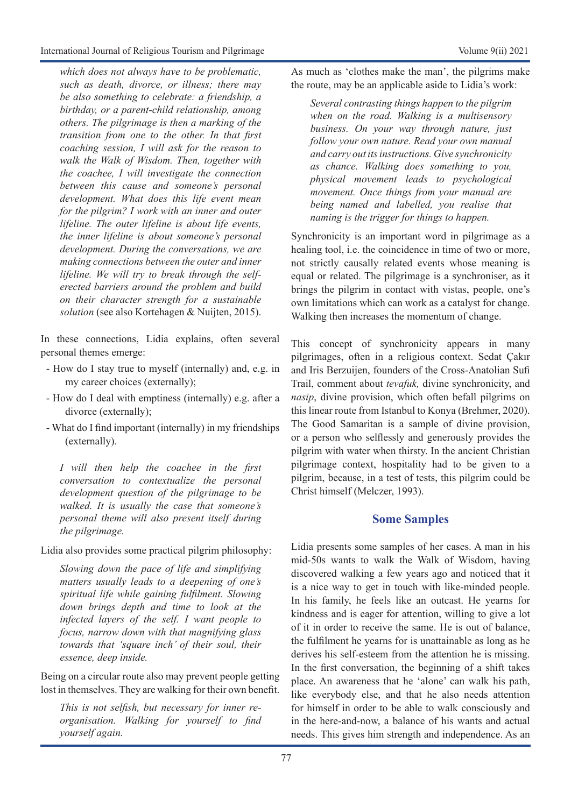*which does not always have to be problematic, such as death, divorce, or illness; there may be also something to celebrate: a friendship, a birthday, or a parent-child relationship, among others. The pilgrimage is then a marking of the transition from one to the other. In that first coaching session, I will ask for the reason to walk the Walk of Wisdom. Then, together with the coachee, I will investigate the connection between this cause and someone's personal development. What does this life event mean for the pilgrim? I work with an inner and outer lifeline. The outer lifeline is about life events, the inner lifeline is about someone's personal development. During the conversations, we are making connections between the outer and inner lifeline. We will try to break through the selferected barriers around the problem and build on their character strength for a sustainable solution* (see also Kortehagen & Nuijten, 2015).

In these connections, Lidia explains, often several personal themes emerge:

- How do I stay true to myself (internally) and, e.g. in my career choices (externally);
- How do I deal with emptiness (internally) e.g. after a divorce (externally);
- What do I find important (internally) in my friendships (externally).

*I will then help the coachee in the first conversation to contextualize the personal development question of the pilgrimage to be walked. It is usually the case that someone's personal theme will also present itself during the pilgrimage.* 

Lidia also provides some practical pilgrim philosophy:

*Slowing down the pace of life and simplifying matters usually leads to a deepening of one's spiritual life while gaining fulfilment. Slowing down brings depth and time to look at the infected layers of the self. I want people to focus, narrow down with that magnifying glass towards that 'square inch' of their soul, their essence, deep inside.*

Being on a circular route also may prevent people getting lost in themselves. They are walking for their own benefit.

*This is not selfish, but necessary for inner reorganisation. Walking for yourself to find yourself again.* 

As much as 'clothes make the man', the pilgrims make the route, may be an applicable aside to Lidia's work:

*Several contrasting things happen to the pilgrim when on the road. Walking is a multisensory business. On your way through nature, just follow your own nature. Read your own manual and carry out its instructions. Give synchronicity as chance. Walking does something to you, physical movement leads to psychological movement. Once things from your manual are being named and labelled, you realise that naming is the trigger for things to happen.* 

Synchronicity is an important word in pilgrimage as a healing tool, i.e. the coincidence in time of two or more, not strictly causally related events whose meaning is equal or related. The pilgrimage is a synchroniser, as it brings the pilgrim in contact with vistas, people, one's own limitations which can work as a catalyst for change. Walking then increases the momentum of change.

This concept of synchronicity appears in many pilgrimages, often in a religious context. Sedat Çakır and Iris Berzuijen, founders of the Cross-Anatolian Sufi Trail, comment about *tevafuk,* divine synchronicity, and *nasip*, divine provision, which often befall pilgrims on this linear route from Istanbul to Konya (Brehmer, 2020). The Good Samaritan is a sample of divine provision, or a person who selflessly and generously provides the pilgrim with water when thirsty. In the ancient Christian pilgrimage context, hospitality had to be given to a pilgrim, because, in a test of tests, this pilgrim could be Christ himself (Melczer, 1993).

#### **Some Samples**

Lidia presents some samples of her cases. A man in his mid-50s wants to walk the Walk of Wisdom, having discovered walking a few years ago and noticed that it is a nice way to get in touch with like-minded people. In his family, he feels like an outcast. He yearns for kindness and is eager for attention, willing to give a lot of it in order to receive the same. He is out of balance, the fulfilment he yearns for is unattainable as long as he derives his self-esteem from the attention he is missing. In the first conversation, the beginning of a shift takes place. An awareness that he 'alone' can walk his path, like everybody else, and that he also needs attention for himself in order to be able to walk consciously and in the here-and-now, a balance of his wants and actual needs. This gives him strength and independence. As an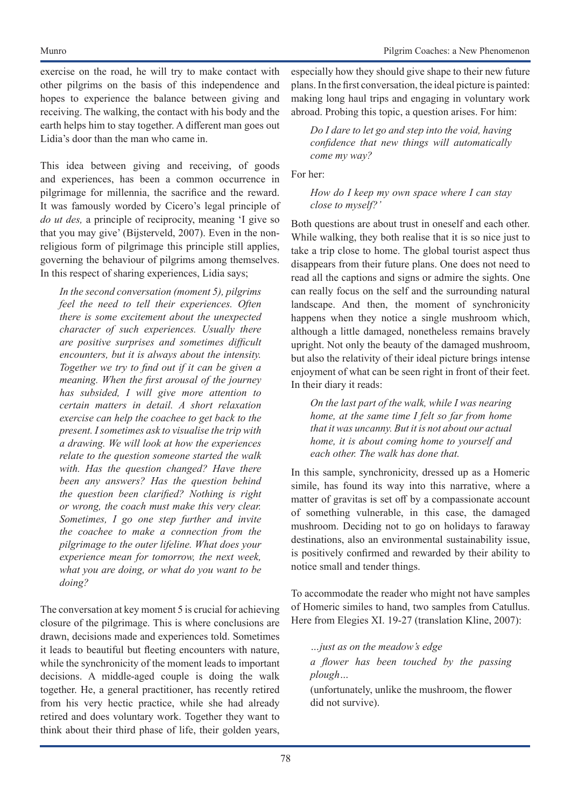exercise on the road, he will try to make contact with other pilgrims on the basis of this independence and hopes to experience the balance between giving and receiving. The walking, the contact with his body and the earth helps him to stay together. A different man goes out Lidia's door than the man who came in.

This idea between giving and receiving, of goods and experiences, has been a common occurrence in pilgrimage for millennia, the sacrifice and the reward. It was famously worded by Cicero's legal principle of *do ut des,* a principle of reciprocity, meaning 'I give so that you may give' (Bijsterveld, 2007). Even in the nonreligious form of pilgrimage this principle still applies, governing the behaviour of pilgrims among themselves. In this respect of sharing experiences, Lidia says;

*In the second conversation (moment 5), pilgrims feel the need to tell their experiences. Often there is some excitement about the unexpected character of such experiences. Usually there are positive surprises and sometimes difficult encounters, but it is always about the intensity. Together we try to find out if it can be given a meaning. When the first arousal of the journey has subsided, I will give more attention to certain matters in detail. A short relaxation exercise can help the coachee to get back to the present. I sometimes ask to visualise the trip with a drawing. We will look at how the experiences relate to the question someone started the walk with. Has the question changed? Have there been any answers? Has the question behind the question been clarified? Nothing is right or wrong, the coach must make this very clear. Sometimes, I go one step further and invite the coachee to make a connection from the pilgrimage to the outer lifeline. What does your experience mean for tomorrow, the next week, what you are doing, or what do you want to be doing?*

The conversation at key moment 5 is crucial for achieving closure of the pilgrimage. This is where conclusions are drawn, decisions made and experiences told. Sometimes it leads to beautiful but fleeting encounters with nature, while the synchronicity of the moment leads to important decisions. A middle-aged couple is doing the walk together. He, a general practitioner, has recently retired from his very hectic practice, while she had already retired and does voluntary work. Together they want to think about their third phase of life, their golden years, especially how they should give shape to their new future plans. In the first conversation, the ideal picture is painted: making long haul trips and engaging in voluntary work abroad. Probing this topic, a question arises. For him:

*Do I dare to let go and step into the void, having confidence that new things will automatically come my way?*

For her:

*How do I keep my own space where I can stay close to myself?'* 

Both questions are about trust in oneself and each other. While walking, they both realise that it is so nice just to take a trip close to home. The global tourist aspect thus disappears from their future plans. One does not need to read all the captions and signs or admire the sights. One can really focus on the self and the surrounding natural landscape. And then, the moment of synchronicity happens when they notice a single mushroom which, although a little damaged, nonetheless remains bravely upright. Not only the beauty of the damaged mushroom, but also the relativity of their ideal picture brings intense enjoyment of what can be seen right in front of their feet. In their diary it reads:

*On the last part of the walk, while I was nearing home, at the same time I felt so far from home that it was uncanny. But it is not about our actual home, it is about coming home to yourself and each other. The walk has done that.*

In this sample, synchronicity, dressed up as a Homeric simile, has found its way into this narrative, where a matter of gravitas is set off by a compassionate account of something vulnerable, in this case, the damaged mushroom. Deciding not to go on holidays to faraway destinations, also an environmental sustainability issue, is positively confirmed and rewarded by their ability to notice small and tender things.

To accommodate the reader who might not have samples of Homeric similes to hand, two samples from Catullus. Here from Elegies XI. 19-27 (translation Kline, 2007):

*…just as on the meadow's edge a flower has been touched by the passing plough…*  (unfortunately, unlike the mushroom, the flower did not survive).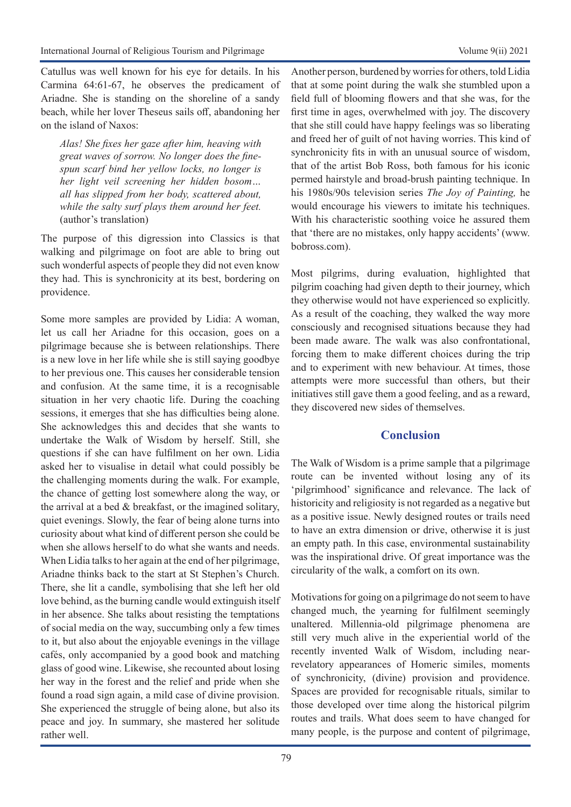Catullus was well known for his eye for details. In his Carmina 64:61-67, he observes the predicament of Ariadne. She is standing on the shoreline of a sandy beach, while her lover Theseus sails off, abandoning her on the island of Naxos:

*Alas! She fixes her gaze after him, heaving with great waves of sorrow. No longer does the finespun scarf bind her yellow locks, no longer is her light veil screening her hidden bosom… all has slipped from her body, scattered about, while the salty surf plays them around her feet.*  (author's translation)

The purpose of this digression into Classics is that walking and pilgrimage on foot are able to bring out such wonderful aspects of people they did not even know they had. This is synchronicity at its best, bordering on providence.

Some more samples are provided by Lidia: A woman, let us call her Ariadne for this occasion, goes on a pilgrimage because she is between relationships. There is a new love in her life while she is still saying goodbye to her previous one. This causes her considerable tension and confusion. At the same time, it is a recognisable situation in her very chaotic life. During the coaching sessions, it emerges that she has difficulties being alone. She acknowledges this and decides that she wants to undertake the Walk of Wisdom by herself. Still, she questions if she can have fulfilment on her own. Lidia asked her to visualise in detail what could possibly be the challenging moments during the walk. For example, the chance of getting lost somewhere along the way, or the arrival at a bed & breakfast, or the imagined solitary, quiet evenings. Slowly, the fear of being alone turns into curiosity about what kind of different person she could be when she allows herself to do what she wants and needs. When Lidia talks to her again at the end of her pilgrimage, Ariadne thinks back to the start at St Stephen's Church. There, she lit a candle, symbolising that she left her old love behind, as the burning candle would extinguish itself in her absence. She talks about resisting the temptations of social media on the way, succumbing only a few times to it, but also about the enjoyable evenings in the village cafés, only accompanied by a good book and matching glass of good wine. Likewise, she recounted about losing her way in the forest and the relief and pride when she found a road sign again, a mild case of divine provision. She experienced the struggle of being alone, but also its peace and joy. In summary, she mastered her solitude rather well.

Another person, burdened by worries for others, told Lidia that at some point during the walk she stumbled upon a field full of blooming flowers and that she was, for the first time in ages, overwhelmed with joy. The discovery that she still could have happy feelings was so liberating and freed her of guilt of not having worries. This kind of synchronicity fits in with an unusual source of wisdom, that of the artist Bob Ross, both famous for his iconic permed hairstyle and broad-brush painting technique. In his 1980s/90s television series *The Joy of Painting,* he would encourage his viewers to imitate his techniques. With his characteristic soothing voice he assured them that 'there are no mistakes, only happy accidents' (www. bobross.com).

Most pilgrims, during evaluation, highlighted that pilgrim coaching had given depth to their journey, which they otherwise would not have experienced so explicitly. As a result of the coaching, they walked the way more consciously and recognised situations because they had been made aware. The walk was also confrontational, forcing them to make different choices during the trip and to experiment with new behaviour. At times, those attempts were more successful than others, but their initiatives still gave them a good feeling, and as a reward, they discovered new sides of themselves.

#### **Conclusion**

The Walk of Wisdom is a prime sample that a pilgrimage route can be invented without losing any of its 'pilgrimhood' significance and relevance. The lack of historicity and religiosity is not regarded as a negative but as a positive issue. Newly designed routes or trails need to have an extra dimension or drive, otherwise it is just an empty path. In this case, environmental sustainability was the inspirational drive. Of great importance was the circularity of the walk, a comfort on its own.

Motivations for going on a pilgrimage do not seem to have changed much, the yearning for fulfilment seemingly unaltered. Millennia-old pilgrimage phenomena are still very much alive in the experiential world of the recently invented Walk of Wisdom, including nearrevelatory appearances of Homeric similes, moments of synchronicity, (divine) provision and providence. Spaces are provided for recognisable rituals, similar to those developed over time along the historical pilgrim routes and trails. What does seem to have changed for many people, is the purpose and content of pilgrimage,